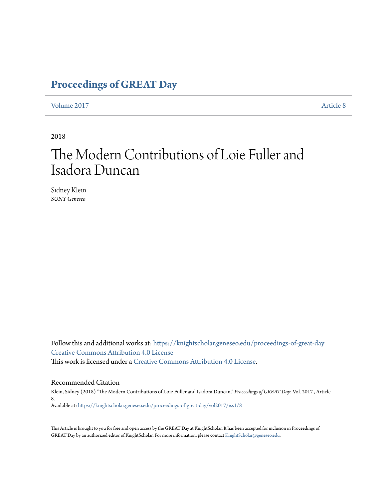### **[Proceedings of GREAT Day](https://knightscholar.geneseo.edu/proceedings-of-great-day?utm_source=knightscholar.geneseo.edu%2Fproceedings-of-great-day%2Fvol2017%2Fiss1%2F8&utm_medium=PDF&utm_campaign=PDFCoverPages)**

[Volume 2017](https://knightscholar.geneseo.edu/proceedings-of-great-day/vol2017?utm_source=knightscholar.geneseo.edu%2Fproceedings-of-great-day%2Fvol2017%2Fiss1%2F8&utm_medium=PDF&utm_campaign=PDFCoverPages) **[Article 8](https://knightscholar.geneseo.edu/proceedings-of-great-day/vol2017/iss1/8?utm_source=knightscholar.geneseo.edu%2Fproceedings-of-great-day%2Fvol2017%2Fiss1%2F8&utm_medium=PDF&utm_campaign=PDFCoverPages)** 

2018

## The Modern Contributions of Loie Fuller and Isadora Duncan

Sidney Klein *SUNY Geneseo*

Follow this and additional works at: [https://knightscholar.geneseo.edu/proceedings-of-great-day](https://knightscholar.geneseo.edu/proceedings-of-great-day?utm_source=knightscholar.geneseo.edu%2Fproceedings-of-great-day%2Fvol2017%2Fiss1%2F8&utm_medium=PDF&utm_campaign=PDFCoverPages) [Creative Commons Attribution 4.0 License](http://creativecommons.org/licenses/by/4.0/) This work is licensed under a [Creative Commons Attribution 4.0 License.](http://creativecommons.org/licenses/by/4.0/)

#### Recommended Citation

Klein, Sidney (2018) "The Modern Contributions of Loie Fuller and Isadora Duncan," *Proceedings of GREAT Day*: Vol. 2017 , Article 8. Available at: [https://knightscholar.geneseo.edu/proceedings-of-great-day/vol2017/iss1/8](https://knightscholar.geneseo.edu/proceedings-of-great-day/vol2017/iss1/8?utm_source=knightscholar.geneseo.edu%2Fproceedings-of-great-day%2Fvol2017%2Fiss1%2F8&utm_medium=PDF&utm_campaign=PDFCoverPages)

This Article is brought to you for free and open access by the GREAT Day at KnightScholar. It has been accepted for inclusion in Proceedings of GREAT Day by an authorized editor of KnightScholar. For more information, please contact [KnightScholar@geneseo.edu.](mailto:KnightScholar@geneseo.edu)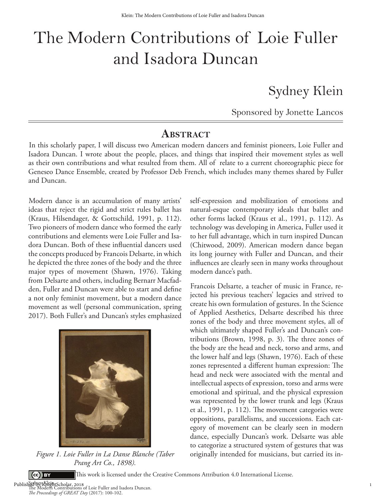# The Modern Contributions of Loie Fuller and Isadora Duncan

Sydney Klein

Sponsored by Jonette Lancos

### **ABSTRACT**

In this scholarly paper, I will discuss two American modern dancers and feminist pioneers, Loie Fuller and Isadora Duncan. I wrote about the people, places, and things that inspired their movement styles as well as their own contributions and what resulted from them. All of relate to a current choreographic piece for Geneseo Dance Ensemble, created by Professor Deb French, which includes many themes shared by Fuller and Duncan.

Modern dance is an accumulation of many artists' ideas that reject the rigid and strict rules ballet has (Kraus, Hilsendager, & Gottschild, 1991, p. 112). Two pioneers of modern dance who formed the early contributions and elements were Loie Fuller and Isadora Duncan. Both of these influential dancers used the concepts produced by Francois Delsarte, in which he depicted the three zones of the body and the three major types of movement (Shawn, 1976). Taking from Delsarte and others, including Bernarr Macfadden, Fuller and Duncan were able to start and define a not only feminist movement, but a modern dance movement as well (personal communication, spring 2017). Both Fuller's and Duncan's styles emphasized



*Prang Art Co., 1898).*

self-expression and mobilization of emotions and natural-esque contemporary ideals that ballet and other forms lacked (Kraus et al., 1991, p. 112). As technology was developing in America, Fuller used it to her full advantage, which in turn inspired Duncan (Chitwood, 2009). American modern dance began its long journey with Fuller and Duncan, and their influences are clearly seen in many works throughout modern dance's path.

Francois Delsarte, a teacher of music in France, rejected his previous teachers' legacies and strived to create his own formulation of gestures. In the Science of Applied Aesthetics, Delsarte described his three zones of the body and three movement styles, all of which ultimately shaped Fuller's and Duncan's contributions (Brown, 1998, p. 3). The three zones of the body are the head and neck, torso and arms, and the lower half and legs (Shawn, 1976). Each of these zones represented a different human expression: The head and neck were associated with the mental and intellectual aspects of expression, torso and arms were emotional and spiritual, and the physical expression was represented by the lower trunk and legs (Kraus et al., 1991, p. 112). The movement categories were oppositions, parallelisms, and successions. Each category of movement can be clearly seen in modern dance, especially Duncan's work. Delsarte was able to categorize a structured system of gestures that was *Figure 1. Loie Fuller in La Danse Blanche (Taber* originally intended for musicians, but carried its in-

 $\left(\text{ce}\right)$  BY

This work is licensed under the Creative Commons Attribution 4.0 International License.

Sydney Klein . Published by KrightScholar, 2018<br>The Modern Contributions of Loie Fuller and Isadora Duncan. *e Proceedings of GREAT Day* (2017): 100-102.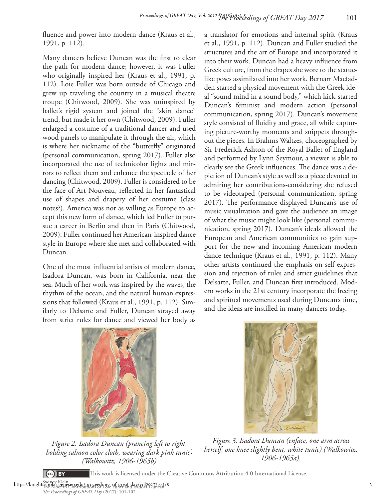fluence and power into modern dance (Kraus et al., 1991, p. 112).

Many dancers believe Duncan was the first to clear the path for modern dance; however, it was Fuller who originally inspired her (Kraus et al., 1991, p. 112). Loie Fuller was born outside of Chicago and grew up traveling the country in a musical theatre troupe (Chitwood, 2009). She was uninspired by ballet's rigid system and joined the "skirt dance" trend, but made it her own (Chitwood, 2009). Fuller enlarged a costume of a traditional dancer and used wood panels to manipulate it through the air, which is where her nickname of the "butterfly" originated (personal communication, spring 2017). Fuller also incorporated the use of technicolor lights and mirrors to reflect them and enhance the spectacle of her dancing (Chitwood, 2009). Fuller is considered to be the face of Art Nouveau, reflected in her fantastical use of shapes and drapery of her costume (class notes?). America was not as willing as Europe to accept this new form of dance, which led Fuller to pursue a career in Berlin and then in Paris (Chitwood, 2009). Fuller continued her American-inspired dance style in Europe where she met and collaborated with Duncan.

One of the most influential artists of modern dance, Isadora Duncan, was born in California, near the sea. Much of her work was inspired by the waves, the rhythm of the ocean, and the natural human expressions that followed (Kraus et al., 1991, p. 112). Similarly to Delsarte and Fuller, Duncan strayed away from strict rules for dance and viewed her body as

a translator for emotions and internal spirit (Kraus et al., 1991, p. 112). Duncan and Fuller studied the structures and the art of Europe and incorporated it into their work. Duncan had a heavy influence from Greek culture, from the drapes she wore to the statuelike poses assimilated into her work. Bernarr Macfadden started a physical movement with the Greek ideal "sound mind in a sound body," which kick-started Duncan's feminist and modern action (personal communication, spring 2017). Duncan's movement style consisted of fluidity and grace, all while capturing picture-worthy moments and snippets throughout the pieces. In Brahms Waltzes, choreographed by Sir Frederick Ashton of the Royal Ballet of England and performed by Lynn Seymour, a viewer is able to clearly see the Greek influences. The dance was a depiction of Duncan's style as well as a piece devoted to admiring her contributions-considering she refused to be videotaped (personal communication, spring 2017). The performance displayed Duncan's use of music visualization and gave the audience an image of what the music might look like (personal communication, spring 2017). Duncan's ideals allowed the European and American communities to gain support for the new and incoming American modern dance technique (Kraus et al., 1991, p. 112). Many other artists continued the emphasis on self-expression and rejection of rules and strict guidelines that Delsarte, Fuller, and Duncan first introduced. Modern works in the 21st century incorporate the freeing and spiritual movements used during Duncan's time, and the ideas are instilled in many dancers today.



*Figure 2. Isadora Duncan (prancing left to right, holding salmon color cloth, wearing dark pink tunic) (Walkowitz, 1906-1965b)*



*Figure 3. Isadora Duncan (enface, one arm across herself, one knee slightly bent, white tunic) (Walkowitz, 1906-1965a).*

This work is licensed under the Creative Commons Attribution 4.0 International License.

Sydney Klein . https://knightschoev.Klein.<br>https://knightscholar.geneseo.edu/proceedings-of-great-day/vol2017/iss1/8<br>*The Proceedings of GREAT Day* (2017): 101-102.

(cc) BY